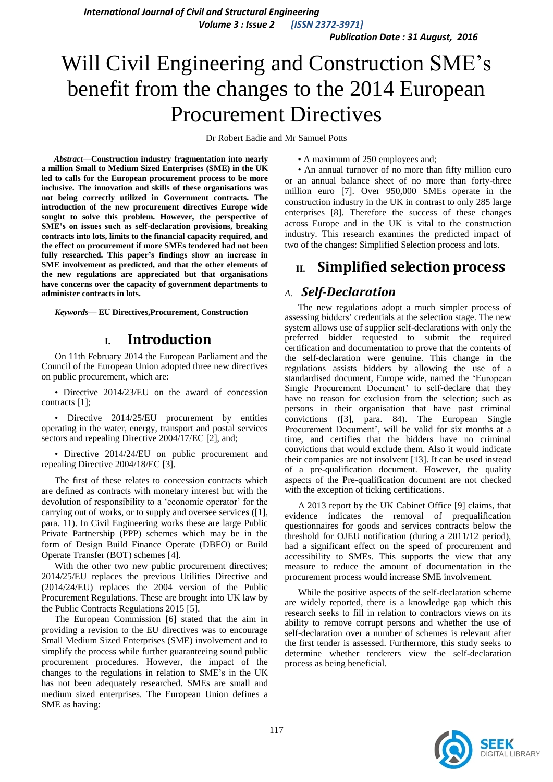*International Journal of Civil and Structural Engineering Volume 3 : Issue 2 [ISSN 2372-3971]*

*Publication Date : 31 August, 2016*

# Will Civil Engineering and Construction SME's benefit from the changes to the 2014 European Procurement Directives

Dr Robert Eadie and Mr Samuel Potts

*Abstract***—Construction industry fragmentation into nearly a million Small to Medium Sized Enterprises (SME) in the UK led to calls for the European procurement process to be more inclusive. The innovation and skills of these organisations was not being correctly utilized in Government contracts. The introduction of the new procurement directives Europe wide sought to solve this problem. However, the perspective of SME's on issues such as self-declaration provisions, breaking contracts into lots, limits to the financial capacity required, and the effect on procurement if more SMEs tendered had not been fully researched. This paper's findings show an increase in SME involvement as predicted, and that the other elements of the new regulations are appreciated but that organisations have concerns over the capacity of government departments to administer contracts in lots.**

*Keywords—* **EU Directives,Procurement, Construction**

### **I. Introduction**

On 11th February 2014 the European Parliament and the Council of the European Union adopted three new directives on public procurement, which are:

• Directive 2014/23/EU on the award of concession contracts [1]:

• Directive 2014/25/EU procurement by entities operating in the water, energy, transport and postal services sectors and repealing Directive 2004/17/EC [2], and;

• Directive 2014/24/EU on public procurement and repealing Directive 2004/18/EC [3].

The first of these relates to concession contracts which are defined as contracts with monetary interest but with the devolution of responsibility to a 'economic operator' for the carrying out of works, or to supply and oversee services ([1], para. 11). In Civil Engineering works these are large Public Private Partnership (PPP) schemes which may be in the form of Design Build Finance Operate (DBFO) or Build Operate Transfer (BOT) schemes [4].

With the other two new public procurement directives; 2014/25/EU replaces the previous Utilities Directive and (2014/24/EU) replaces the 2004 version of the Public Procurement Regulations. These are brought into UK law by the Public Contracts Regulations 2015 [5].

The European Commission [6] stated that the aim in providing a revision to the EU directives was to encourage Small Medium Sized Enterprises (SME) involvement and to simplify the process while further guaranteeing sound public procurement procedures. However, the impact of the changes to the regulations in relation to SME's in the UK has not been adequately researched. SMEs are small and medium sized enterprises. The European Union defines a SME as having:

• An annual turnover of no more than fifty million euro or an annual balance sheet of no more than forty-three million euro [7]. Over 950,000 SMEs operate in the construction industry in the UK in contrast to only 285 large enterprises [8]. Therefore the success of these changes across Europe and in the UK is vital to the construction industry. This research examines the predicted impact of two of the changes: Simplified Selection process and lots.

• A maximum of 250 employees and;

# **II. Simplified selection process**

### *A. Self-Declaration*

The new regulations adopt a much simpler process of assessing bidders' credentials at the selection stage. The new system allows use of supplier self-declarations with only the preferred bidder requested to submit the required certification and documentation to prove that the contents of the self-declaration were genuine. This change in the regulations assists bidders by allowing the use of a standardised document, Europe wide, named the 'European Single Procurement Document' to self-declare that they have no reason for exclusion from the selection; such as persons in their organisation that have past criminal convictions ([3], para. 84). The European Single Procurement Document', will be valid for six months at a time, and certifies that the bidders have no criminal convictions that would exclude them. Also it would indicate their companies are not insolvent [13]. It can be used instead of a pre-qualification document. However, the quality aspects of the Pre-qualification document are not checked with the exception of ticking certifications.

A 2013 report by the UK Cabinet Office [9] claims, that evidence indicates the removal of prequalification questionnaires for goods and services contracts below the threshold for OJEU notification (during a 2011/12 period), had a significant effect on the speed of procurement and accessibility to SMEs. This supports the view that any measure to reduce the amount of documentation in the procurement process would increase SME involvement.

While the positive aspects of the self-declaration scheme are widely reported, there is a knowledge gap which this research seeks to fill in relation to contractors views on its ability to remove corrupt persons and whether the use of self-declaration over a number of schemes is relevant after the first tender is assessed. Furthermore, this study seeks to determine whether tenderers view the self-declaration process as being beneficial.

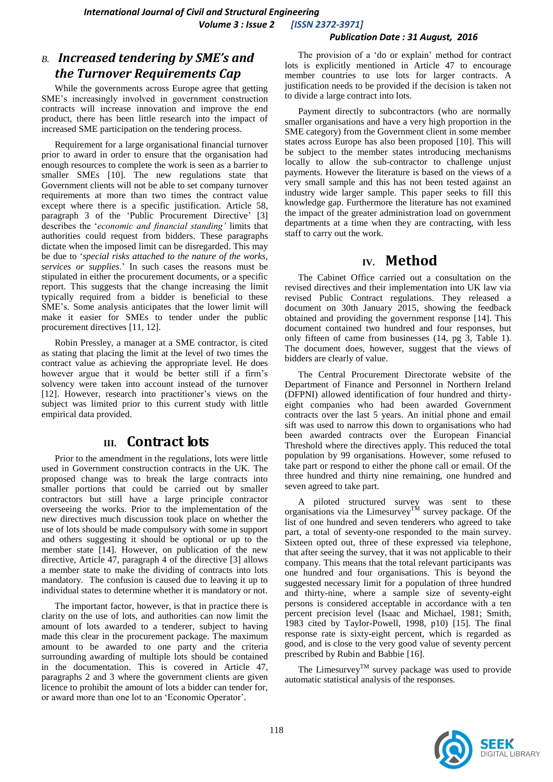#### *Publication Date : 31 August, 2016*

### *B. Increased tendering by SME's and the Turnover Requirements Cap*

While the governments across Europe agree that getting SME's increasingly involved in government construction contracts will increase innovation and improve the end product, there has been little research into the impact of increased SME participation on the tendering process.

Requirement for a large organisational financial turnover prior to award in order to ensure that the organisation had enough resources to complete the work is seen as a barrier to smaller SMEs [10]. The new regulations state that Government clients will not be able to set company turnover requirements at more than two times the contract value except where there is a specific justification. Article 58, paragraph 3 of the 'Public Procurement Directive' [3] describes the '*economic and financial standing'* limits that authorities could request from bidders. These paragraphs dictate when the imposed limit can be disregarded. This may be due to '*special risks attached to the nature of the works, services or supplies*.' In such cases the reasons must be stipulated in either the procurement documents, or a specific report. This suggests that the change increasing the limit typically required from a bidder is beneficial to these SME's. Some analysis anticipates that the lower limit will make it easier for SMEs to tender under the public procurement directives [11, 12].

Robin Pressley, a manager at a SME contractor, is cited as stating that placing the limit at the level of two times the contract value as achieving the appropriate level. He does however argue that it would be better still if a firm's solvency were taken into account instead of the turnover [12]. However, research into practitioner's views on the subject was limited prior to this current study with little empirical data provided.

## **III. Contract lots**

Prior to the amendment in the regulations, lots were little used in Government construction contracts in the UK. The proposed change was to break the large contracts into smaller portions that could be carried out by smaller contractors but still have a large principle contractor overseeing the works. Prior to the implementation of the new directives much discussion took place on whether the use of lots should be made compulsory with some in support and others suggesting it should be optional or up to the member state [14]. However, on publication of the new directive, Article 47, paragraph 4 of the directive [3] allows a member state to make the dividing of contracts into lots mandatory. The confusion is caused due to leaving it up to individual states to determine whether it is mandatory or not.

The important factor, however, is that in practice there is clarity on the use of lots, and authorities can now limit the amount of lots awarded to a tenderer, subject to having made this clear in the procurement package. The maximum amount to be awarded to one party and the criteria surrounding awarding of multiple lots should be contained in the documentation. This is covered in Article 47, paragraphs 2 and 3 where the government clients are given licence to prohibit the amount of lots a bidder can tender for, or award more than one lot to an 'Economic Operator'.

The provision of a 'do or explain' method for contract lots is explicitly mentioned in Article 47 to encourage member countries to use lots for larger contracts. A justification needs to be provided if the decision is taken not to divide a large contract into lots.

Payment directly to subcontractors (who are normally smaller organisations and have a very high proportion in the SME category) from the Government client in some member states across Europe has also been proposed [10]. This will be subject to the member states introducing mechanisms locally to allow the sub-contractor to challenge unjust payments. However the literature is based on the views of a very small sample and this has not been tested against an industry wide larger sample. This paper seeks to fill this knowledge gap. Furthermore the literature has not examined the impact of the greater administration load on government departments at a time when they are contracting, with less staff to carry out the work.

# **IV. Method**

The Cabinet Office carried out a consultation on the revised directives and their implementation into UK law via revised Public Contract regulations. They released a document on 30th January 2015, showing the feedback obtained and providing the government response [14]. This document contained two hundred and four responses, but only fifteen of came from businesses (14, pg 3, Table 1). The document does, however, suggest that the views of bidders are clearly of value.

The Central Procurement Directorate website of the Department of Finance and Personnel in Northern Ireland (DFPNI) allowed identification of four hundred and thirtyeight companies who had been awarded Government contracts over the last 5 years. An initial phone and email sift was used to narrow this down to organisations who had been awarded contracts over the European Financial Threshold where the directives apply. This reduced the total population by 99 organisations. However, some refused to take part or respond to either the phone call or email. Of the three hundred and thirty nine remaining, one hundred and seven agreed to take part.

A piloted structured survey was sent to these organisations via the Limesurvey<sup>TM</sup> survey package. Of the list of one hundred and seven tenderers who agreed to take part, a total of seventy-one responded to the main survey. Sixteen opted out, three of these expressed via telephone, that after seeing the survey, that it was not applicable to their company. This means that the total relevant participants was one hundred and four organisations. This is beyond the suggested necessary limit for a population of three hundred and thirty-nine, where a sample size of seventy-eight persons is considered acceptable in accordance with a ten percent precision level (Isaac and Michael, 1981; Smith, 1983 cited by Taylor-Powell, 1998, p10) [15]. The final response rate is sixty-eight percent, which is regarded as good, and is close to the very good value of seventy percent prescribed by Rubin and Babbie [16].

The Limesurvey<sup>TM</sup> survey package was used to provide automatic statistical analysis of the responses.

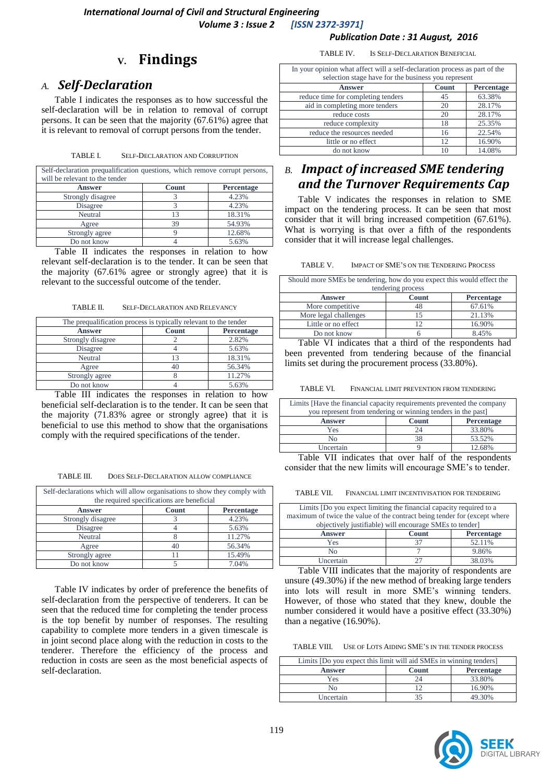#### *Publication Date : 31 August, 2016*

# **V. Findings**

### *A. Self-Declaration*

Table I indicates the responses as to how successful the self-declaration will be in relation to removal of corrupt persons. It can be seen that the majority (67.61%) agree that it is relevant to removal of corrupt persons from the tender.

| TABLE L | <b>SELF-DECLARATION AND CORRUPTION</b> |  |
|---------|----------------------------------------|--|
|         |                                        |  |

| Self-declaration prequalification questions, which remove corrupt persons,<br>will be relevant to the tender |              |                   |
|--------------------------------------------------------------------------------------------------------------|--------------|-------------------|
| <b>Answer</b>                                                                                                | <b>Count</b> | <b>Percentage</b> |
| Strongly disagree                                                                                            |              | 4.23%             |
| Disagree                                                                                                     |              | 4.23%             |
| Neutral                                                                                                      | 13           | 18.31%            |
| Agree                                                                                                        | 39           | 54.93%            |
| Strongly agree                                                                                               |              | 12.68%            |
| Do not know                                                                                                  |              | 5.63%             |

Table II indicates the responses in relation to how relevant self-declaration is to the tender. It can be seen that the majority (67.61% agree or strongly agree) that it is relevant to the successful outcome of the tender.

TABLE II. SELF-DECLARATION AND RELEVANCY

| The prequalification process is typically relevant to the tender |       |            |
|------------------------------------------------------------------|-------|------------|
| <b>Answer</b>                                                    | Count | Percentage |
| Strongly disagree                                                |       | 2.82%      |
| Disagree                                                         |       | 5.63%      |
| Neutral                                                          | 13    | 18.31%     |
| Agree                                                            | 40    | 56.34%     |
| Strongly agree                                                   |       | 11.27%     |
| Do not know                                                      |       | 5.63%      |

Table III indicates the responses in relation to how beneficial self-declaration is to the tender. It can be seen that the majority (71.83% agree or strongly agree) that it is beneficial to use this method to show that the organisations comply with the required specifications of the tender.

TABLE III. DOES SELF-DECLARATION ALLOW COMPLIANCE

| Self-declarations which will allow organisations to show they comply with<br>the required specifications are beneficial |       |            |  |
|-------------------------------------------------------------------------------------------------------------------------|-------|------------|--|
| <b>Answer</b>                                                                                                           | Count | Percentage |  |
| Strongly disagree                                                                                                       |       | 4.23%      |  |
| Disagree                                                                                                                |       | 5.63%      |  |
| Neutral                                                                                                                 |       | 11.27%     |  |
| Agree                                                                                                                   | 40    | 56.34%     |  |
| Strongly agree                                                                                                          |       | 15.49%     |  |
| Do not know                                                                                                             |       | 7.04%      |  |

Table IV indicates by order of preference the benefits of self-declaration from the perspective of tenderers. It can be seen that the reduced time for completing the tender process is the top benefit by number of responses. The resulting capability to complete more tenders in a given timescale is in joint second place along with the reduction in costs to the tenderer. Therefore the efficiency of the process and reduction in costs are seen as the most beneficial aspects of self-declaration.

TABLE IV. IS SELF-DECLARATION BENEFICIAL

| In your opinion what affect will a self-declaration process as part of the<br>selection stage have for the business you represent |              |            |
|-----------------------------------------------------------------------------------------------------------------------------------|--------------|------------|
| <b>Answer</b>                                                                                                                     | <b>Count</b> | Percentage |
| reduce time for completing tenders                                                                                                | 45           | 63.38%     |
| aid in completing more tenders                                                                                                    | 20           | 28.17%     |
| reduce costs                                                                                                                      | 20           | 28.17%     |
| reduce complexity                                                                                                                 | 18           | 25.35%     |
| reduce the resources needed                                                                                                       | 16           | 22.54%     |
| little or no effect                                                                                                               | 12           | 16.90%     |
| do not know                                                                                                                       | 10           | 14.08%     |

# *B. Impact of increased SME tendering and the Turnover Requirements Cap*

Table V indicates the responses in relation to SME impact on the tendering process. It can be seen that most consider that it will bring increased competition (67.61%). What is worrying is that over a fifth of the respondents consider that it will increase legal challenges.

TABLE V. IMPACT OF SME'S ON THE TENDERING PROCESS

| Should more SMEs be tendering, how do you expect this would effect the<br>tendering process |              |            |  |
|---------------------------------------------------------------------------------------------|--------------|------------|--|
| <b>Answer</b>                                                                               | <b>Count</b> | Percentage |  |
| More competitive                                                                            |              | 67.61%     |  |
| More legal challenges                                                                       | 15           | 21.13%     |  |
| Little or no effect                                                                         |              | 16.90%     |  |
| Do not know                                                                                 |              | 8.45%      |  |

Table VI indicates that a third of the respondents had been prevented from tendering because of the financial limits set during the procurement process (33.80%).

TABLE VI. FINANCIAL LIMIT PREVENTION FROM TENDERING

| Limits [Have the financial capacity requirements prevented the company<br>you represent from tendering or winning tenders in the past] |                         |                   |
|----------------------------------------------------------------------------------------------------------------------------------------|-------------------------|-------------------|
| <b>Answer</b>                                                                                                                          | <b>Count</b>            | <b>Percentage</b> |
| Yes                                                                                                                                    | 24                      | 33.80%            |
| Nο                                                                                                                                     | 38                      | 53.52%            |
| Uncertain                                                                                                                              |                         | 12.68%            |
| <b>* ***</b> *<br>$\sim$                                                                                                               | $\sim$<br>$\sim$ $\sim$ |                   |

Table VII indicates that over half of the respondents consider that the new limits will encourage SME's to tender.

TABLE VII. FINANCIAL LIMIT INCENTIVISATION FOR TENDERING

| Limits (Do you expect limiting the financial capacity required to a       |       |            |  |
|---------------------------------------------------------------------------|-------|------------|--|
| maximum of twice the value of the contract being tender for (except where |       |            |  |
| objectively justifiable) will encourage SMEs to tender]                   |       |            |  |
| <b>Answer</b>                                                             | Count | Percentage |  |
| Yes                                                                       |       | 52.11%     |  |
|                                                                           |       |            |  |
| N٥                                                                        |       | 9.86%      |  |
| <b>Uncertain</b>                                                          |       | 38.03%     |  |

Table VIII indicates that the majority of respondents are unsure (49.30%) if the new method of breaking large tenders into lots will result in more SME's winning tenders. However, of those who stated that they knew, double the number considered it would have a positive effect (33.30%) than a negative (16.90%).

TABLE VIII. USE OF LOTS AIDING SME'S IN THE TENDER PROCESS

| Limits [Do you expect this limit will aid SMEs in winning tenders] |              |                   |
|--------------------------------------------------------------------|--------------|-------------------|
| <b>Answer</b>                                                      | <b>Count</b> | <b>Percentage</b> |
| Yes                                                                |              | 33.80%            |
| Nο                                                                 |              | 16.90%            |
| Uncertain                                                          |              | 49.30%            |

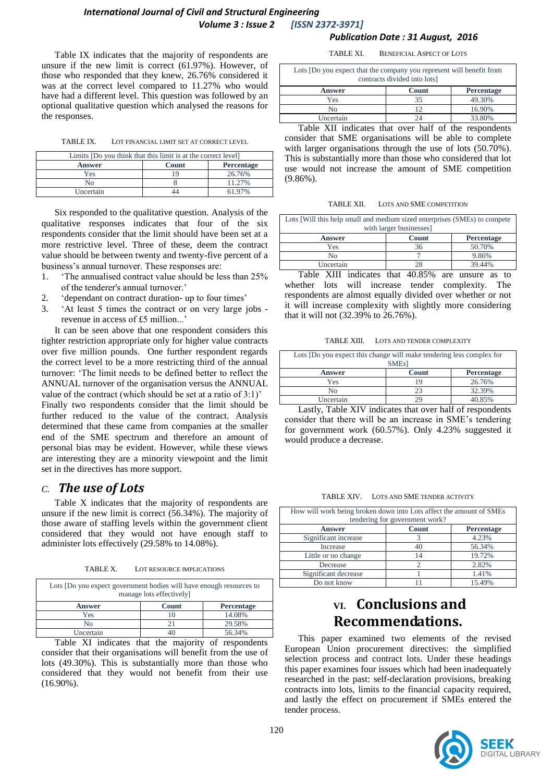#### *International Journal of Civil and Structural Engineering Volume 3 : Issue 2 [ISSN 2372-3971]*

Table IX indicates that the majority of respondents are unsure if the new limit is correct (61.97%). However, of those who responded that they knew, 26.76% considered it was at the correct level compared to 11.27% who would have had a different level. This question was followed by an optional qualitative question which analysed the reasons for the responses.

TABLE IX. LOT FINANCIAL LIMIT SET AT CORRECT LEVEL

| Limits (Do you think that this limit is at the correct level) |       |                   |  |
|---------------------------------------------------------------|-------|-------------------|--|
| <b>Answer</b>                                                 | Count | <b>Percentage</b> |  |
| Yes                                                           |       | 26.76%            |  |
| Nο                                                            |       | 11.27%            |  |
| Uncertain                                                     |       | 61.97%            |  |

Six responded to the qualitative question. Analysis of the qualitative responses indicates that four of the six respondents consider that the limit should have been set at a more restrictive level. Three of these, deem the contract value should be between twenty and twenty-five percent of a business's annual turnover. These responses are:

- 1. 'The annualised contract value should be less than 25% of the tenderer's annual turnover.'
- 2. 'dependant on contract duration- up to four times'
- 3. 'At least 5 times the contract or on very large jobs revenue in access of £5 million...'

It can be seen above that one respondent considers this tighter restriction appropriate only for higher value contracts over five million pounds. One further respondent regards the correct level to be a more restricting third of the annual turnover: 'The limit needs to be defined better to reflect the ANNUAL turnover of the organisation versus the ANNUAL value of the contract (which should be set at a ratio of 3:1)' Finally two respondents consider that the limit should be

further reduced to the value of the contract. Analysis determined that these came from companies at the smaller end of the SME spectrum and therefore an amount of personal bias may be evident. However, while these views are interesting they are a minority viewpoint and the limit set in the directives has more support.

#### *C. The use of Lots*

Table X indicates that the majority of respondents are unsure if the new limit is correct (56.34%). The majority of those aware of staffing levels within the government client considered that they would not have enough staff to administer lots effectively (29.58% to 14.08%).

TABLE X. LOT RESOURCE IMPLICATIONS

| Lots [Do you expect government bodies will have enough resources to<br>manage lots effectively] |       |                   |  |
|-------------------------------------------------------------------------------------------------|-------|-------------------|--|
| <b>Answer</b>                                                                                   | Count | <b>Percentage</b> |  |
| Yes                                                                                             | 10    | 14.08%            |  |
| Nο                                                                                              |       | 29.58%            |  |
| Uncertain                                                                                       |       | 56.34%            |  |

Table XI indicates that the majority of respondents consider that their organisations will benefit from the use of lots (49.30%). This is substantially more than those who considered that they would not benefit from their use (16.90%).

*Publication Date : 31 August, 2016* TABLE XI. BENEFICIAL ASPECT OF LOTS

| Lots Do you expect that the company you represent will benefit from<br>contracts divided into lots] |       |                   |
|-----------------------------------------------------------------------------------------------------|-------|-------------------|
| <b>Answer</b>                                                                                       | Count | <b>Percentage</b> |
| Yes                                                                                                 | 35    | 49.30%            |
| No                                                                                                  | 12    | 16.90%            |
| Uncertain                                                                                           |       | 33.80%            |

Table XII indicates that over half of the respondents consider that SME organisations will be able to complete with larger organisations through the use of lots (50.70%). This is substantially more than those who considered that lot use would not increase the amount of SME competition (9.86%).

| Lots [Will this help small and medium sized enterprises (SMEs) to compete<br>with larger businesses] |              |                   |  |
|------------------------------------------------------------------------------------------------------|--------------|-------------------|--|
| <b>Answer</b>                                                                                        | <b>Count</b> | <b>Percentage</b> |  |
| Yes                                                                                                  | 36           | 50.70%            |  |
| No                                                                                                   |              | 9.86%             |  |
| Uncertain                                                                                            |              | 39.44%            |  |

Table XIII indicates that 40.85% are unsure as to whether lots will increase tender complexity. The respondents are almost equally divided over whether or not it will increase complexity with slightly more considering that it will not (32.39% to 26.76%).

TABLE XIII. LOTS AND TENDER COMPLEXITY

| Lots [Do you expect this change will make tendering less complex for<br><b>SMEs1</b> |       |                   |  |
|--------------------------------------------------------------------------------------|-------|-------------------|--|
| Answer                                                                               | Count | <b>Percentage</b> |  |
| Yes                                                                                  | 19    | 26.76%            |  |
| N <sub>0</sub>                                                                       |       | 32.39%            |  |
| Uncertain                                                                            |       | 40.85%            |  |

Lastly, Table XIV indicates that over half of respondents consider that there will be an increase in SME's tendering for government work (60.57%). Only 4.23% suggested it would produce a decrease.

TABLE XIV. LOTS AND SME TENDER ACTIVITY

| How will work being broken down into Lots affect the amount of SMEs<br>tendering for government work? |       |            |  |
|-------------------------------------------------------------------------------------------------------|-------|------------|--|
| <b>Answer</b>                                                                                         | Count | Percentage |  |
| Significant increase                                                                                  |       | 4.23%      |  |
| Increase                                                                                              | 40    | 56.34%     |  |
| Little or no change                                                                                   | 14    | 19.72%     |  |
| Decrease                                                                                              |       | 2.82%      |  |
| Significant decrease                                                                                  |       | 1.41%      |  |
| Do not know                                                                                           |       | 15.49%     |  |

# **VI. Conclusions and Recommendations.**

This paper examined two elements of the revised European Union procurement directives: the simplified selection process and contract lots. Under these headings this paper examines four issues which had been inadequately researched in the past: self-declaration provisions, breaking contracts into lots, limits to the financial capacity required, and lastly the effect on procurement if SMEs entered the tender process.